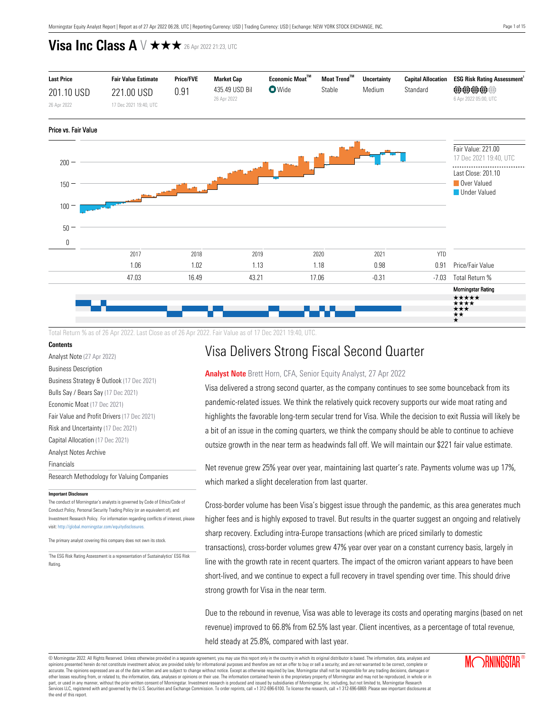

Total Return % as of 26 Apr 2022. Last Close as of 26 Apr 2022. Fair Value as of 17 Dec 2021 19:40, UTC.

### **Contents**

[Analyst Note](#page-0-0) (27 Apr 2022)

[Business Description](#page-1-0)

[Business Strategy & Outlook](#page-1-1) (17 Dec 2021) [Bulls Say / Bears Say](#page-1-2) (17 Dec 2021) [Economic Moat](#page-2-0) (17 Dec 2021) [Fair Value and Profit Drivers](#page-3-0) (17 Dec 2021) [Risk and Uncertainty](#page-3-1) (17 Dec 2021) [Capital Allocation](#page-4-0) (17 Dec 2021) [Analyst Notes Archive](#page-4-1) [Financials](#page-10-0) [Research Methodology for Valuing Companies](#page-11-0)

#### **Important Disclosure**

The conduct of Morningstar's analysts is governed by Code of Ethics/Code of Conduct Policy, Personal Security Trading Policy (or an equivalent of), and Investment Research Policy. For information regarding conflicts of interest, please visit: http://global.morningstar.com/equitydisclosures.

The primary analyst covering this company does not own its stock.

1 The ESG Risk Rating Assessment is a representation of Sustainalytics' ESG Risk Rating.

# Visa Delivers Strong Fiscal Second Quarter

### <span id="page-0-0"></span>**Analyst Note** Brett Horn, CFA, Senior Equity Analyst, 27 Apr 2022

Visa delivered a strong second quarter, as the company continues to see some bounceback from its pandemic-related issues. We think the relatively quick recovery supports our wide moat rating and highlights the favorable long-term secular trend for Visa. While the decision to exit Russia will likely be a bit of an issue in the coming quarters, we think the company should be able to continue to achieve outsize growth in the near term as headwinds fall off. We will maintain our \$221 fair value estimate.

Net revenue grew 25% year over year, maintaining last quarter's rate. Payments volume was up 17%, which marked a slight deceleration from last quarter.

Cross-border volume has been Visa's biggest issue through the pandemic, as this area generates much higher fees and is highly exposed to travel. But results in the quarter suggest an ongoing and relatively sharp recovery. Excluding intra-Europe transactions (which are priced similarly to domestic transactions), cross-border volumes grew 47% year over year on a constant currency basis, largely in line with the growth rate in recent quarters. The impact of the omicron variant appears to have been short-lived, and we continue to expect a full recovery in travel spending over time. This should drive strong growth for Visa in the near term.

Due to the rebound in revenue, Visa was able to leverage its costs and operating margins (based on net revenue) improved to 66.8% from 62.5% last year. Client incentives, as a percentage of total revenue, held steady at 25.8%, compared with last year.

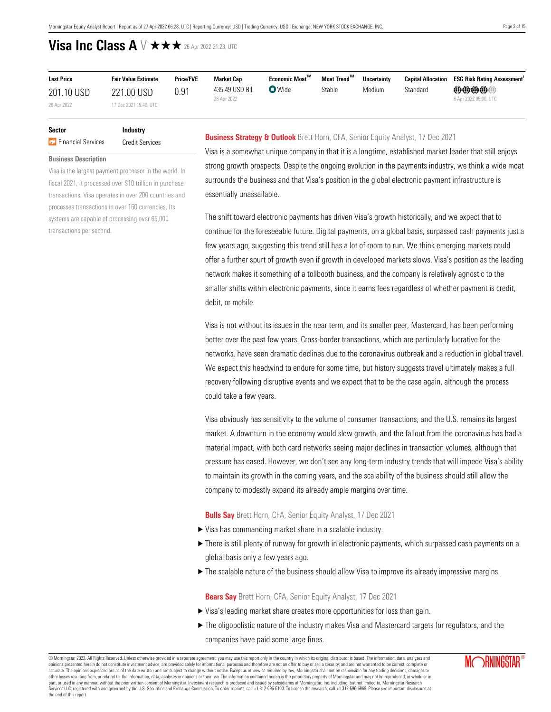| <b>Last Price</b> | <b>Fair Value Estimate</b> | <b>Price/FVE</b> | <b>Market Cap</b> | Economic Moat™ | Moat Trend™ | <b>Uncertainty</b> |          | <b>Capital Allocation ESG Risk Rating Assessment</b> |
|-------------------|----------------------------|------------------|-------------------|----------------|-------------|--------------------|----------|------------------------------------------------------|
| 201.10 USD        | 221.00 USD                 | 0.91             | 435.49 USD Bil    | $\nabla$ Wide  | Stable      | Medium             | Standard | @@@@@@                                               |
| 26 Apr 2022       | 17 Dec 2021 19:40, UTC     |                  | 26 Apr 2022       |                |             |                    |          | 6 Apr 2022 05:00, UTC                                |

### **Sector Industry F**inancial Services Credit Services

<span id="page-1-0"></span>**Business Description**

Visa is the largest payment processor in the world. In fiscal 2021, it processed over \$10 trillion in purchase transactions. Visa operates in over 200 countries and processes transactions in over 160 currencies. Its systems are capable of processing over 65,000 transactions per second.

### <span id="page-1-1"></span>**Business Strategy & Outlook** Brett Horn, CFA, Senior Equity Analyst, 17 Dec 2021

Visa is a somewhat unique company in that it is a longtime, established market leader that still enjoys strong growth prospects. Despite the ongoing evolution in the payments industry, we think a wide moat surrounds the business and that Visa's position in the global electronic payment infrastructure is essentially unassailable.

The shift toward electronic payments has driven Visa's growth historically, and we expect that to continue for the foreseeable future. Digital payments, on a global basis, surpassed cash payments just a few years ago, suggesting this trend still has a lot of room to run. We think emerging markets could offer a further spurt of growth even if growth in developed markets slows. Visa's position as the leading network makes it something of a tollbooth business, and the company is relatively agnostic to the smaller shifts within electronic payments, since it earns fees regardless of whether payment is credit, debit, or mobile.

Visa is not without its issues in the near term, and its smaller peer, Mastercard, has been performing better over the past few years. Cross-border transactions, which are particularly lucrative for the networks, have seen dramatic declines due to the coronavirus outbreak and a reduction in global travel. We expect this headwind to endure for some time, but history suggests travel ultimately makes a full recovery following disruptive events and we expect that to be the case again, although the process could take a few years.

Visa obviously has sensitivity to the volume of consumer transactions, and the U.S. remains its largest market. A downturn in the economy would slow growth, and the fallout from the coronavirus has had a material impact, with both card networks seeing major declines in transaction volumes, although that pressure has eased. However, we don't see any long-term industry trends that will impede Visa's ability to maintain its growth in the coming years, and the scalability of the business should still allow the company to modestly expand its already ample margins over time.

### <span id="page-1-2"></span>**Bulls Say** Brett Horn, CFA, Senior Equity Analyst, 17 Dec 2021

- $\triangleright$  Visa has commanding market share in a scalable industry.
- $\blacktriangleright$  There is still plenty of runway for growth in electronic payments, which surpassed cash payments on a global basis only a few years ago.
- $\blacktriangleright$  The scalable nature of the business should allow Visa to improve its already impressive margins.

**Bears Say** Brett Horn, CFA, Senior Equity Analyst, 17 Dec 2021

- $\triangleright$  Visa's leading market share creates more opportunities for loss than gain.
- $\blacktriangleright$  The oligopolistic nature of the industry makes Visa and Mastercard targets for regulators, and the companies have paid some large fines.

© Morningstar 2022. All Rights Reserved. Unless otherwise provided in a separate agreement, you may use this report only in the country in which its original distributor is based. The information, data, analyses and opinions presented herein do not constitute investment advice; are provided solely for informational purposes and therefore are not an offer to buy or sell a security; and are not warranted to be correct, complete or accurate. The opinions expressed are as of the date written and are subject to change without notice. Except as otherwise required by law, Morningstar shall not be responsible for any trading decisions, damages or<br>other lo part, or used in any manner, without the prior written consent of Morningstar. Investment research is produced and issued by subsidiaries of Morningstar, Inc. including, but not limited to, Morningstar Research<br>Services LL the end of this report.

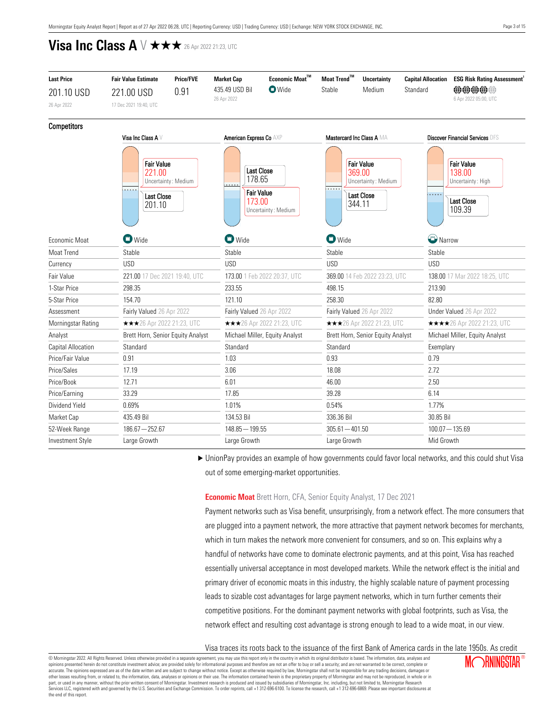| <b>Last Price</b>  | <b>Fair Value Estimate</b>                                             | <b>Price/FVE</b>    | <b>Market Cap</b>                                          | Economic Moat™                    | Moat Trend™                   | <b>Uncertainty</b>                                                                | <b>Capital Allocation</b> | <b>ESG Risk Rating Assessment</b>                                               |  |  |
|--------------------|------------------------------------------------------------------------|---------------------|------------------------------------------------------------|-----------------------------------|-------------------------------|-----------------------------------------------------------------------------------|---------------------------|---------------------------------------------------------------------------------|--|--|
| 201.10 USD         | 221.00 USD                                                             | 0.91                | 435.49 USD Bil                                             | <b>O</b> Wide                     | Stable                        | Medium                                                                            | Standard                  | <b>@@@@@</b>                                                                    |  |  |
| 26 Apr 2022        | 17 Dec 2021 19:40, UTC                                                 |                     | 26 Apr 2022                                                |                                   |                               |                                                                                   |                           | 6 Apr 2022 05:00, UTC                                                           |  |  |
| <b>Competitors</b> |                                                                        |                     |                                                            |                                   |                               |                                                                                   |                           |                                                                                 |  |  |
|                    | Visa Inc Class A V                                                     |                     | American Express Co AXP                                    |                                   | Mastercard Inc Class A MA     |                                                                                   |                           | <b>Discover Financial Services DFS</b>                                          |  |  |
|                    | <b>Fair Value</b><br>221.00<br>$\cdots$<br><b>Last Close</b><br>201.10 | Uncertainty: Medium | <b>Last Close</b><br>178.65<br><b>Fair Value</b><br>173.00 | Uncertainty: Medium               |                               | <b>Fair Value</b><br>369.00<br>Uncertainty: Medium<br><b>Last Close</b><br>344.11 | $\cdots$                  | <b>Fair Value</b><br>138.00<br>Uncertainty: High<br><b>Last Close</b><br>109.39 |  |  |
| Fconomic Moat      | $\blacksquare$ Wide                                                    |                     | <b>D</b> Wide                                              |                                   | $\bullet$ Wide                |                                                                                   | Narrow                    |                                                                                 |  |  |
| Moat Trend         | Stable                                                                 |                     | Stable                                                     |                                   | Stable                        |                                                                                   | Stable                    |                                                                                 |  |  |
| Currency           | <b>USD</b>                                                             |                     | <b>USD</b>                                                 |                                   | <b>USD</b>                    |                                                                                   |                           |                                                                                 |  |  |
| Fair Value         | 221.00 17 Dec 2021 19:40, UTC                                          |                     | 173.00 1 Feb 2022 20:37, UTC                               |                                   | 369.00 14 Feb 2022 23:23, UTC |                                                                                   |                           | 138.00 17 Mar 2022 18:25, UTC                                                   |  |  |
| 1-Star Price       | 298.35                                                                 |                     | 233.55                                                     |                                   | 498.15                        |                                                                                   | 213.90                    |                                                                                 |  |  |
| 5-Star Price       | 154.70                                                                 |                     | 121.10                                                     |                                   | 258.30                        |                                                                                   | 82.80                     |                                                                                 |  |  |
| Assessment         | Fairly Valued 26 Apr 2022                                              |                     | Fairly Valued 26 Apr 2022                                  |                                   | Fairly Valued 26 Apr 2022     |                                                                                   |                           | Under Valued 26 Apr 2022                                                        |  |  |
| Morningstar Rating | ★★★26 Apr 2022 21:23, UTC                                              |                     |                                                            | <b>★★★</b> 26 Apr 2022 21:23, UTC |                               | <b>★★★</b> 26 Apr 2022 21:23, UTC                                                 |                           | <b>★★★★</b> 26 Apr 2022 21:23, UTC                                              |  |  |
| Analyst            | Brett Horn, Senior Equity Analyst                                      |                     |                                                            | Michael Miller, Equity Analyst    |                               | Brett Horn, Senior Equity Analyst                                                 |                           | Michael Miller, Equity Analyst                                                  |  |  |
| Capital Allocation | Standard                                                               |                     | Standard                                                   |                                   | Standard                      |                                                                                   | Exemplary                 |                                                                                 |  |  |
| Price/Fair Value   | 0.91                                                                   |                     | 1.03                                                       |                                   | 0.93                          |                                                                                   | 0.79                      |                                                                                 |  |  |
| Price/Sales        | 17.19                                                                  |                     | 3.06                                                       |                                   | 18.08                         |                                                                                   | 2.72                      |                                                                                 |  |  |
| Price/Book         | 12.71                                                                  |                     | 6.01                                                       |                                   | 46.00                         |                                                                                   | 2.50                      |                                                                                 |  |  |
| Price/Earning      | 33.29                                                                  |                     | 17.85                                                      |                                   | 39.28                         |                                                                                   | 6.14                      |                                                                                 |  |  |
| Dividend Yield     | 0.69%                                                                  |                     |                                                            |                                   | 0.54%                         |                                                                                   |                           |                                                                                 |  |  |
| Market Cap         | 435.49 Bil                                                             |                     | 134.53 Bil                                                 |                                   |                               | 336.36 Bil                                                                        |                           | 30.85 Bil                                                                       |  |  |
| 52-Week Range      | $186.67 - 252.67$                                                      |                     | $148.85 - 199.55$                                          |                                   | $305.61 - 401.50$             |                                                                                   | $100.07 - 135.69$         |                                                                                 |  |  |
| Investment Style   | Large Growth                                                           |                     | Large Growth                                               |                                   | Large Growth                  |                                                                                   |                           | Mid Growth                                                                      |  |  |

► UnionPay provides an example of how governments could favor local networks, and this could shut Visa out of some emerging-market opportunities.

### <span id="page-2-0"></span>**Economic Moat** Brett Horn, CFA, Senior Equity Analyst, 17 Dec 2021

Payment networks such as Visa benefit, unsurprisingly, from a network effect. The more consumers that are plugged into a payment network, the more attractive that payment network becomes for merchants, which in turn makes the network more convenient for consumers, and so on. This explains why a handful of networks have come to dominate electronic payments, and at this point, Visa has reached essentially universal acceptance in most developed markets. While the network effect is the initial and primary driver of economic moats in this industry, the highly scalable nature of payment processing leads to sizable cost advantages for large payment networks, which in turn further cements their competitive positions. For the dominant payment networks with global footprints, such as Visa, the network effect and resulting cost advantage is strong enough to lead to a wide moat, in our view.

Visa traces its roots back to the issuance of the first Bank of America cards in the late 1950s. As credit

© Morningstar 2022. All Rights Reserved. Unless otherwise provided in a separate agreement, you may use this report only in the country in which its original distributor is based. The information, data, analyses and opinions presented herein do not constitute investment advice; are provided solely for informational purposes and therefore are not an offer to buy or sell a security; and are not warranted to be correct, complete or accurate. The opinions expressed are as of the date written and are subject to change without notice. Except as otherwise required by law, Morningstar shall not be responsible for any trading decisions, damages or<br>other lo part, or used in any manner, without the prior written consent of Morningstar. Investment research is produced and issued by subsidiaries of Morningstar, Inc. including, but not limited to, Morningstar Research<br>Services LL the end of this report.

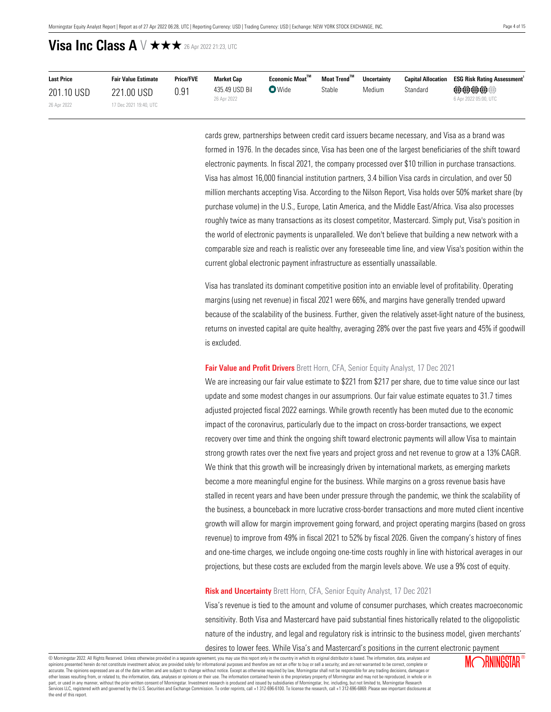| <b>Last Price</b> | <b>Fair Value Estimate</b> | <b>Price/FVE</b> | <b>Market Cap</b> | Economic Moat™ | Moat Trend™ | <b>Uncertainty</b> | <b>Capital Allocation</b> | <b>ESG Risk Rating Assessment</b> |
|-------------------|----------------------------|------------------|-------------------|----------------|-------------|--------------------|---------------------------|-----------------------------------|
| 201.10 USD        | 221.00 USD                 | 0.91             | 435.49 USD Bil    | $\nabla$ Wide  | Stable      | Medium             | Standard                  | <b>@@@@@</b>                      |
| 26 Apr 2022       | 17 Dec 2021 19:40, UTC     |                  | 26 Apr 2022       |                |             |                    |                           | 6 Apr 2022 05:00, UTC             |

cards grew, partnerships between credit card issuers became necessary, and Visa as a brand was formed in 1976. In the decades since, Visa has been one of the largest beneficiaries of the shift toward electronic payments. In fiscal 2021, the company processed over \$10 trillion in purchase transactions. Visa has almost 16,000 financial institution partners, 3.4 billion Visa cards in circulation, and over 50 million merchants accepting Visa. According to the Nilson Report, Visa holds over 50% market share (by purchase volume) in the U.S., Europe, Latin America, and the Middle East/Africa. Visa also processes roughly twice as many transactions as its closest competitor, Mastercard. Simply put, Visa's position in the world of electronic payments is unparalleled. We don't believe that building a new network with a comparable size and reach is realistic over any foreseeable time line, and view Visa's position within the current global electronic payment infrastructure as essentially unassailable.

Visa has translated its dominant competitive position into an enviable level of profitability. Operating margins (using net revenue) in fiscal 2021 were 66%, and margins have generally trended upward because of the scalability of the business. Further, given the relatively asset-light nature of the business, returns on invested capital are quite healthy, averaging 28% over the past five years and 45% if goodwill is excluded.

#### <span id="page-3-0"></span>**Fair Value and Profit Drivers** Brett Horn, CFA, Senior Equity Analyst, 17 Dec 2021

We are increasing our fair value estimate to \$221 from \$217 per share, due to time value since our last update and some modest changes in our assumprions. Our fair value estimate equates to 31.7 times adjusted projected fiscal 2022 earnings. While growth recently has been muted due to the economic impact of the coronavirus, particularly due to the impact on cross-border transactions, we expect recovery over time and think the ongoing shift toward electronic payments will allow Visa to maintain strong growth rates over the next five years and project gross and net revenue to grow at a 13% CAGR. We think that this growth will be increasingly driven by international markets, as emerging markets become a more meaningful engine for the business. While margins on a gross revenue basis have stalled in recent years and have been under pressure through the pandemic, we think the scalability of the business, a bounceback in more lucrative cross-border transactions and more muted client incentive growth will allow for margin improvement going forward, and project operating margins (based on gross revenue) to improve from 49% in fiscal 2021 to 52% by fiscal 2026. Given the company's history of fines and one-time charges, we include ongoing one-time costs roughly in line with historical averages in our projections, but these costs are excluded from the margin levels above. We use a 9% cost of equity.

### <span id="page-3-1"></span>**Risk and Uncertainty** Brett Horn, CFA, Senior Equity Analyst, 17 Dec 2021

Visa's revenue is tied to the amount and volume of consumer purchases, which creates macroeconomic sensitivity. Both Visa and Mastercard have paid substantial fines historically related to the oligopolistic nature of the industry, and legal and regulatory risk is intrinsic to the business model, given merchants'

desires to lower fees. While Visa's and Mastercard's positions in the current electronic payment

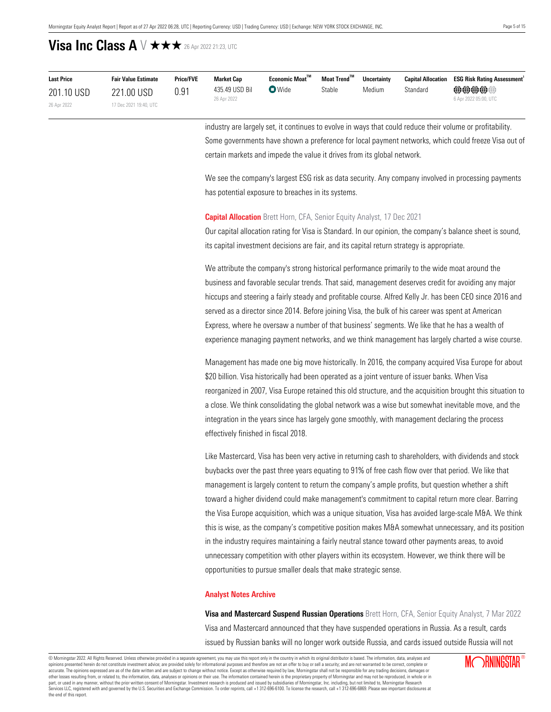| <b>Last Price</b> | <b>Fair Value Estimate</b> | <b>Price/FVE</b> | <b>Market Cap</b> | Economic Moat™ | Moat Trend™ | <b>Uncertainty</b> |          | <b>Capital Allocation ESG Risk Rating Assessment</b> |
|-------------------|----------------------------|------------------|-------------------|----------------|-------------|--------------------|----------|------------------------------------------------------|
| 201.10 USD        | 221.00 USD                 | 0.91             | 435.49 USD Bil    | $\nabla$ Wide  | Stable      | Medium             | Standard | @@@@@@                                               |
| 26 Apr 2022       | 17 Dec 2021 19:40, UTC     |                  | 26 Apr 2022       |                |             |                    |          | 6 Apr 2022 05:00, UTC                                |

industry are largely set, it continues to evolve in ways that could reduce their volume or profitability. Some governments have shown a preference for local payment networks, which could freeze Visa out of certain markets and impede the value it drives from its global network.

We see the company's largest ESG risk as data security. Any company involved in processing payments has potential exposure to breaches in its systems.

### <span id="page-4-0"></span>**Capital Allocation** Brett Horn, CFA, Senior Equity Analyst, 17 Dec 2021

Our capital allocation rating for Visa is Standard. In our opinion, the company's balance sheet is sound, its capital investment decisions are fair, and its capital return strategy is appropriate.

We attribute the company's strong historical performance primarily to the wide moat around the business and favorable secular trends. That said, management deserves credit for avoiding any major hiccups and steering a fairly steady and profitable course. Alfred Kelly Jr. has been CEO since 2016 and served as a director since 2014. Before joining Visa, the bulk of his career was spent at American Express, where he oversaw a number of that business' segments. We like that he has a wealth of experience managing payment networks, and we think management has largely charted a wise course.

Management has made one big move historically. In 2016, the company acquired Visa Europe for about \$20 billion. Visa historically had been operated as a joint venture of issuer banks. When Visa reorganized in 2007, Visa Europe retained this old structure, and the acquisition brought this situation to a close. We think consolidating the global network was a wise but somewhat inevitable move, and the integration in the years since has largely gone smoothly, with management declaring the process effectively finished in fiscal 2018.

Like Mastercard, Visa has been very active in returning cash to shareholders, with dividends and stock buybacks over the past three years equating to 91% of free cash flow over that period. We like that management is largely content to return the company's ample profits, but question whether a shift toward a higher dividend could make management's commitment to capital return more clear. Barring the Visa Europe acquisition, which was a unique situation, Visa has avoided large-scale M&A. We think this is wise, as the company's competitive position makes M&A somewhat unnecessary, and its position in the industry requires maintaining a fairly neutral stance toward other payments areas, to avoid unnecessary competition with other players within its ecosystem. However, we think there will be opportunities to pursue smaller deals that make strategic sense.

### <span id="page-4-1"></span>**Analyst Notes Archive**

**Visa and Mastercard Suspend Russian Operations** Brett Horn, CFA, Senior Equity Analyst, 7 Mar 2022 Visa and Mastercard announced that they have suspended operations in Russia. As a result, cards issued by Russian banks will no longer work outside Russia, and cards issued outside Russia will not

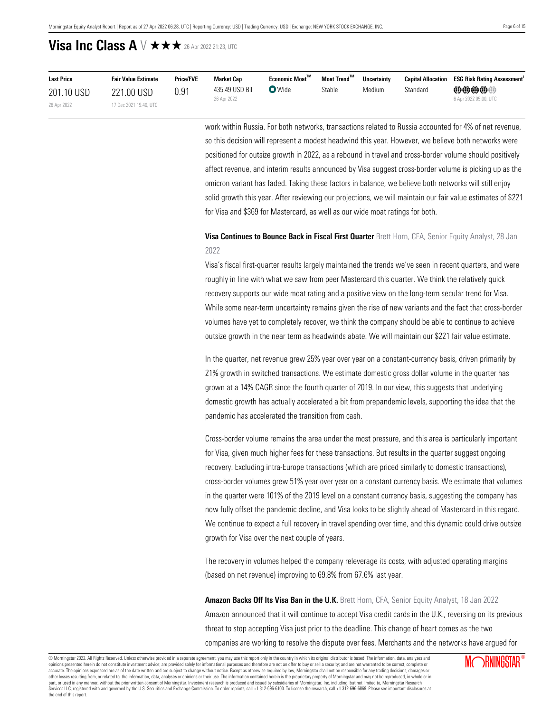| <b>Last Price</b> | <b>Fair Value Estimate</b> | <b>Price/FVE</b> | <b>Market Cap</b> | $E$ conomic Moat $^{\text{TM}}$ | Moat Trend™ | <b>Uncertainty</b> |          | <b>Capital Allocation ESG Risk Rating Assessment</b> |
|-------------------|----------------------------|------------------|-------------------|---------------------------------|-------------|--------------------|----------|------------------------------------------------------|
| 201.10 USD        | 221.00 USD                 | 0.91             | 435.49 USD Bil    | $\bullet$ Wide                  | Stable      | Medium             | Standard | $\oplus \oplus \oplus \oplus$                        |
| 26 Apr 2022       | 17 Dec 2021 19:40, UTC     |                  | 26 Apr 2022       |                                 |             |                    |          | 6 Apr 2022 05:00, UTC                                |

work within Russia. For both networks, transactions related to Russia accounted for 4% of net revenue, so this decision will represent a modest headwind this year. However, we believe both networks were positioned for outsize growth in 2022, as a rebound in travel and cross-border volume should positively affect revenue, and interim results announced by Visa suggest cross-border volume is picking up as the omicron variant has faded. Taking these factors in balance, we believe both networks will still enjoy solid growth this year. After reviewing our projections, we will maintain our fair value estimates of \$221 for Visa and \$369 for Mastercard, as well as our wide moat ratings for both.

### **Visa Continues to Bounce Back in Fiscal First Quarter** Brett Horn, CFA, Senior Equity Analyst, 28 Jan 2022

Visa's fiscal first-quarter results largely maintained the trends we've seen in recent quarters, and were roughly in line with what we saw from peer Mastercard this quarter. We think the relatively quick recovery supports our wide moat rating and a positive view on the long-term secular trend for Visa. While some near-term uncertainty remains given the rise of new variants and the fact that cross-border volumes have yet to completely recover, we think the company should be able to continue to achieve outsize growth in the near term as headwinds abate. We will maintain our \$221 fair value estimate.

In the quarter, net revenue grew 25% year over year on a constant-currency basis, driven primarily by 21% growth in switched transactions. We estimate domestic gross dollar volume in the quarter has grown at a 14% CAGR since the fourth quarter of 2019. In our view, this suggests that underlying domestic growth has actually accelerated a bit from prepandemic levels, supporting the idea that the pandemic has accelerated the transition from cash.

Cross-border volume remains the area under the most pressure, and this area is particularly important for Visa, given much higher fees for these transactions. But results in the quarter suggest ongoing recovery. Excluding intra-Europe transactions (which are priced similarly to domestic transactions), cross-border volumes grew 51% year over year on a constant currency basis. We estimate that volumes in the quarter were 101% of the 2019 level on a constant currency basis, suggesting the company has now fully offset the pandemic decline, and Visa looks to be slightly ahead of Mastercard in this regard. We continue to expect a full recovery in travel spending over time, and this dynamic could drive outsize growth for Visa over the next couple of years.

The recovery in volumes helped the company releverage its costs, with adjusted operating margins (based on net revenue) improving to 69.8% from 67.6% last year.

**Amazon Backs Off Its Visa Ban in the U.K.** Brett Horn, CFA, Senior Equity Analyst, 18 Jan 2022 Amazon announced that it will continue to accept Visa credit cards in the U.K., reversing on its previous threat to stop accepting Visa just prior to the deadline. This change of heart comes as the two companies are working to resolve the dispute over fees. Merchants and the networks have argued for

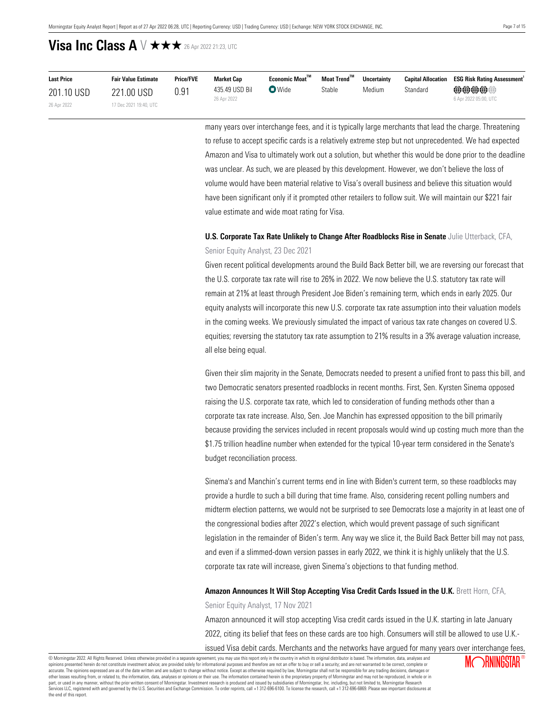| <b>Last Price</b> | <b>Fair Value Estimate</b> | <b>Price/FVE</b> | <b>Market Cap</b> | Economic Moat" | Moat Trend™ | <b>Uncertainty</b> | <b>Capital Allocation</b> | <b>ESG Risk Rating Assessment</b> ' |
|-------------------|----------------------------|------------------|-------------------|----------------|-------------|--------------------|---------------------------|-------------------------------------|
| 201.10 USD        | 221.00 USD                 | 0.91             | 435.49 USD Bil    | <b>D</b> Wide  | Stable      | Medium             | Standard                  | @@@@@@                              |
| 26 Apr 2022       | 17 Dec 2021 19:40, UTC     |                  | 26 Apr 2022       |                |             |                    |                           | 6 Apr 2022 05:00, UTC               |

many years over interchange fees, and it is typically large merchants that lead the charge. Threatening to refuse to accept specific cards is a relatively extreme step but not unprecedented. We had expected Amazon and Visa to ultimately work out a solution, but whether this would be done prior to the deadline was unclear. As such, we are pleased by this development. However, we don't believe the loss of volume would have been material relative to Visa's overall business and believe this situation would have been significant only if it prompted other retailers to follow suit. We will maintain our \$221 fair value estimate and wide moat rating for Visa.

## **U.S. Corporate Tax Rate Unlikely to Change After Roadblocks Rise in Senate** Julie Utterback, CFA, Senior Equity Analyst, 23 Dec 2021

Given recent political developments around the Build Back Better bill, we are reversing our forecast that the U.S. corporate tax rate will rise to 26% in 2022. We now believe the U.S. statutory tax rate will remain at 21% at least through President Joe Biden's remaining term, which ends in early 2025. Our equity analysts will incorporate this new U.S. corporate tax rate assumption into their valuation models in the coming weeks. We previously simulated the impact of various tax rate changes on covered U.S. equities; reversing the statutory tax rate assumption to 21% results in a 3% average valuation increase, all else being equal.

Given their slim majority in the Senate, Democrats needed to present a unified front to pass this bill, and two Democratic senators presented roadblocks in recent months. First, Sen. Kyrsten Sinema opposed raising the U.S. corporate tax rate, which led to consideration of funding methods other than a corporate tax rate increase. Also, Sen. Joe Manchin has expressed opposition to the bill primarily because providing the services included in recent proposals would wind up costing much more than the \$1.75 trillion headline number when extended for the typical 10-year term considered in the Senate's budget reconciliation process.

Sinema's and Manchin's current terms end in line with Biden's current term, so these roadblocks may provide a hurdle to such a bill during that time frame. Also, considering recent polling numbers and midterm election patterns, we would not be surprised to see Democrats lose a majority in at least one of the congressional bodies after 2022's election, which would prevent passage of such significant legislation in the remainder of Biden's term. Any way we slice it, the Build Back Better bill may not pass, and even if a slimmed-down version passes in early 2022, we think it is highly unlikely that the U.S. corporate tax rate will increase, given Sinema's objections to that funding method.

### **Amazon Announces It Will Stop Accepting Visa Credit Cards Issued in the U.K.** Brett Horn, CFA,

Senior Equity Analyst, 17 Nov 2021

Amazon announced it will stop accepting Visa credit cards issued in the U.K. starting in late January 2022, citing its belief that fees on these cards are too high. Consumers will still be allowed to use U.K. issued Visa debit cards. Merchants and the networks have argued for many years over interchange fees,

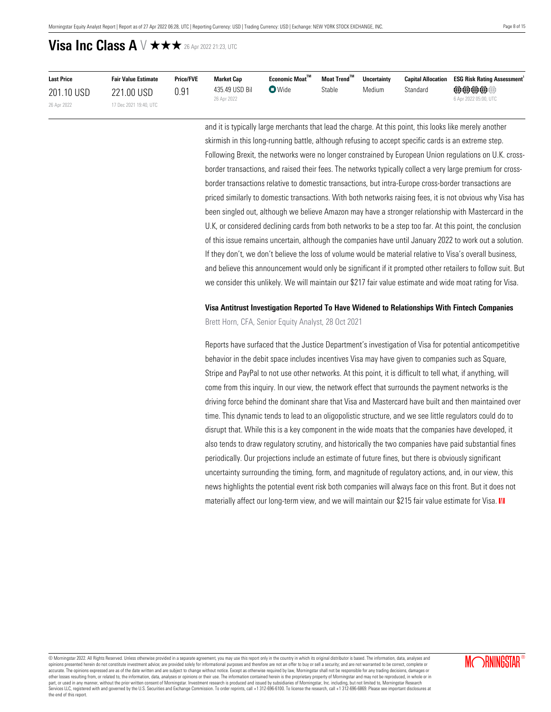| <b>Last Price</b> | <b>Fair Value Estimate</b> | <b>Price/FVE</b> | <b>Market Cap</b>             | $E$ conomic Moat $^{\text{TM}}$ | Moat Trend™ | <b>Uncertainty</b> |          | <b>Capital Allocation ESG Risk Rating Assessment</b>   |
|-------------------|----------------------------|------------------|-------------------------------|---------------------------------|-------------|--------------------|----------|--------------------------------------------------------|
| 201.10 USD        | 221.00 USD                 | 0.91             | 435.49 USD Bil<br>26 Apr 2022 | $\bullet$ Wide                  | Stable      | Medium             | Standard | $\oplus \oplus \oplus \oplus$<br>6 Apr 2022 05:00, UTC |
| 26 Apr 2022       | 17 Dec 2021 19:40, UTC     |                  |                               |                                 |             |                    |          |                                                        |

and it is typically large merchants that lead the charge. At this point, this looks like merely another skirmish in this long-running battle, although refusing to accept specific cards is an extreme step. Following Brexit, the networks were no longer constrained by European Union regulations on U.K. crossborder transactions, and raised their fees. The networks typically collect a very large premium for crossborder transactions relative to domestic transactions, but intra-Europe cross-border transactions are priced similarly to domestic transactions. With both networks raising fees, it is not obvious why Visa has been singled out, although we believe Amazon may have a stronger relationship with Mastercard in the U.K, or considered declining cards from both networks to be a step too far. At this point, the conclusion of this issue remains uncertain, although the companies have until January 2022 to work out a solution. If they don't, we don't believe the loss of volume would be material relative to Visa's overall business, and believe this announcement would only be significant if it prompted other retailers to follow suit. But we consider this unlikely. We will maintain our \$217 fair value estimate and wide moat rating for Visa.

## **Visa Antitrust Investigation Reported To Have Widened to Relationships With Fintech Companies** Brett Horn, CFA, Senior Equity Analyst, 28 Oct 2021

Reports have surfaced that the Justice Department's investigation of Visa for potential anticompetitive behavior in the debit space includes incentives Visa may have given to companies such as Square, Stripe and PayPal to not use other networks. At this point, it is difficult to tell what, if anything, will come from this inquiry. In our view, the network effect that surrounds the payment networks is the driving force behind the dominant share that Visa and Mastercard have built and then maintained over time. This dynamic tends to lead to an oligopolistic structure, and we see little regulators could do to disrupt that. While this is a key component in the wide moats that the companies have developed, it also tends to draw regulatory scrutiny, and historically the two companies have paid substantial fines periodically. Our projections include an estimate of future fines, but there is obviously significant uncertainty surrounding the timing, form, and magnitude of regulatory actions, and, in our view, this news highlights the potential event risk both companies will always face on this front. But it does not materially affect our long-term view, and we will maintain our \$215 fair value estimate for Visa. M

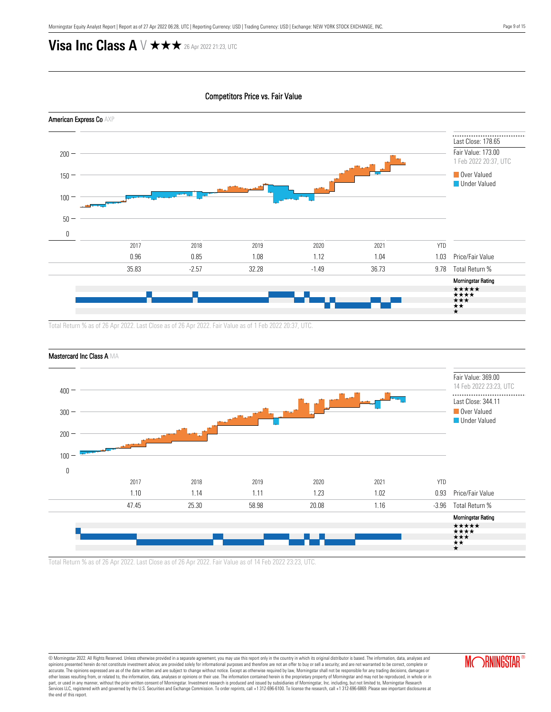Competitors Price vs. Fair Value



Total Return % as of 26 Apr 2022. Last Close as of 26 Apr 2022. Fair Value as of 1 Feb 2022 20:37, UTC.



```
Mastercard Inc Class A MA
```
Total Return % as of 26 Apr 2022. Last Close as of 26 Apr 2022. Fair Value as of 14 Feb 2022 23:23, UTC.

© Morningstar 2022. All Rights Reserved. Unless otherwise provided in a separate agreement, you may use this report only in the country in which its original distributor is based. The information, data, analyses and opinions presented herein do not constitute investment advice; are provided solely for informational purposes and therefore are not an offer to buy or sell a security; and are not warranted to be correct, complete or accurate. The opinions expressed are as of the date written and are subject to change without notice. Except as otherwise required by law, Morningstar shall not be responsible for any trading decisions, damages or<br>other lo part, or used in any manner, without the prior written consent of Morningstar. Investment research is produced and issued by subsidiaries of Morningstar, Inc. including, but not limited to, Morningstar Research<br>Services LL the end of this report.

**MORNINGSTAR**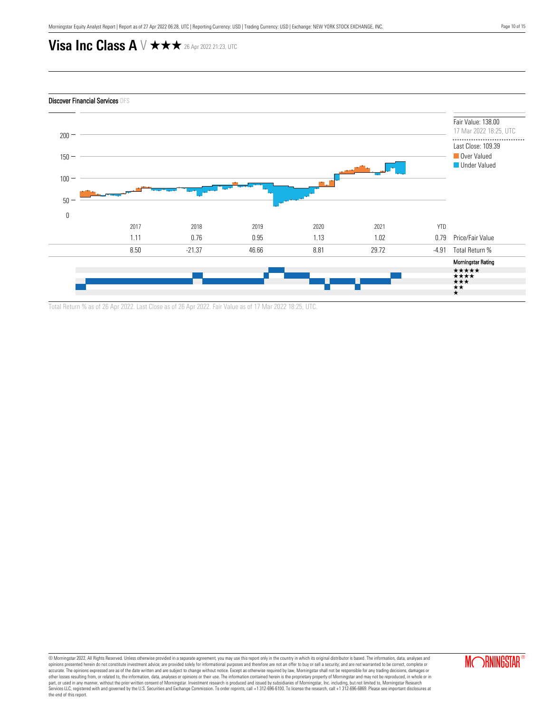

Total Return % as of 26 Apr 2022. Last Close as of 26 Apr 2022. Fair Value as of 17 Mar 2022 18:25, UTC.

© Morningstar 2022. All Rights Reserved. Unless otherwise provided in a separate agreement, you may use this report only in the country in which its original distributor is based. The information, data, analyses and opinions presented herein do not constitute investment advice; are provided solely for informational purposes and therefore are not an offer to buy or sell a security; and are not warranted to be correct, complete or accurate. The opinions expressed are as of the date written and are subject to change without notice. Except as otherwise required by law, Morningstar shall not be responsible for any trading decisions, damages or<br>other lo part, or used in any manner, without the prior written consent of Morningstar. Investment research is produced and issued by subsidiaries of Morningstar, Inc. including, but not limited to, Morningstar Research<br>Services LL the end of this report.

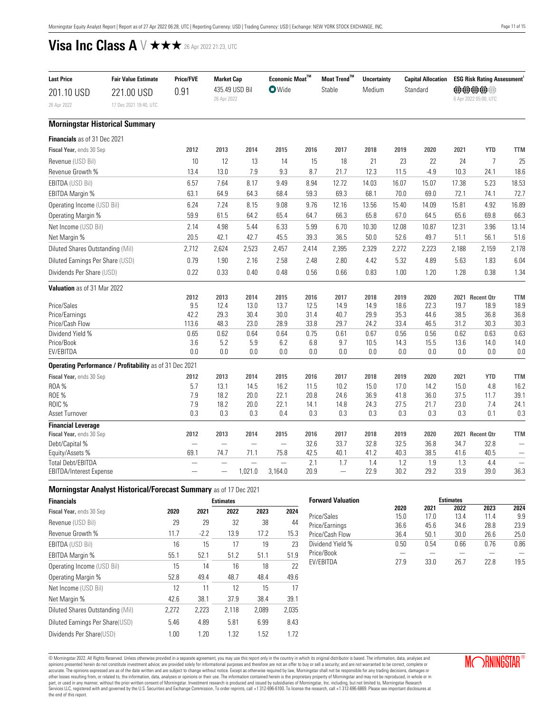<span id="page-10-0"></span>

| <b>Last Price</b>                   | <b>Fair Value Estimate</b>                              | Price/FVE     | <b>Market Cap</b>                |                | Economic Moat™ |              | $\mathsf{Moat}\, \mathsf{Trend}^{\mathsf{TM}}$ | <b>Uncertainty</b> |              | <b>Capital Allocation</b> |              | <b>ESG Risk Rating Assessment</b> |                               |
|-------------------------------------|---------------------------------------------------------|---------------|----------------------------------|----------------|----------------|--------------|------------------------------------------------|--------------------|--------------|---------------------------|--------------|-----------------------------------|-------------------------------|
| 201.10 USD                          | 221.00 USD                                              | 0.91          |                                  | 435.49 USD Bil | <b>O</b> Wide  |              | Stable                                         | Medium             |              | Standard                  |              | <b>@@@@@</b>                      |                               |
| 26 Apr 2022                         | 17 Dec 2021 19:40, UTC                                  |               | 26 Apr 2022                      |                |                |              |                                                |                    |              |                           |              | 6 Apr 2022 05:00, UTC             |                               |
|                                     | <b>Morningstar Historical Summary</b>                   |               |                                  |                |                |              |                                                |                    |              |                           |              |                                   |                               |
| <b>Financials</b> as of 31 Dec 2021 |                                                         |               |                                  |                |                |              |                                                |                    |              |                           |              |                                   |                               |
| Fiscal Year, ends 30 Sep            |                                                         | 2012          | 2013                             | 2014           | 2015           | 2016         | 2017                                           | 2018               | 2019         | 2020                      | 2021         | <b>YTD</b>                        | <b>TTM</b>                    |
| Revenue (USD Bil)                   |                                                         | 10            | 12                               | 13             | 14             | 15           | 18                                             | 21                 | 23           | 22                        | 24           | $\overline{7}$                    | 25                            |
| Revenue Growth %                    |                                                         | 13.4          | 13.0                             | 7.9            | 9.3            | 8.7          | 21.7                                           | 12.3               | 11.5         | $-4.9$                    | 10.3         | 24.1                              | 18.6                          |
| EBITDA (USD Bil)                    |                                                         | 6.57          | 7.64                             | 8.17           | 9.49           | 8.94         | 12.72                                          | 14.03              | 16.07        | 15.07                     | 17.38        | 5.23                              | 18.53                         |
| EBITDA Margin %                     |                                                         | 63.1          | 64.9                             | 64.3           | 68.4           | 59.3         | 69.3                                           | 68.1               | 70.0         | 69.0                      | 72.1         | 74.1                              | 72.7                          |
| Operating Income (USD Bil)          |                                                         | 6.24          | 7.24                             | 8.15           | 9.08           | 9.76         | 12.16                                          | 13.56              | 15.40        | 14.09                     | 15.81        | 4.92                              | 16.89                         |
| Operating Margin %                  |                                                         | 59.9          | 61.5                             | 64.2           | 65.4           | 64.7         | 66.3                                           | 65.8               | 67.0         | 64.5                      | 65.6         | 69.8                              | 66.3                          |
| Net Income (USD Bil)                |                                                         | 2.14          | 4.98                             | 5.44           | 6.33           | 5.99         | 6.70                                           | 10.30              | 12.08        | 10.87                     | 12.31        | 3.96                              | 13.14                         |
| Net Margin %                        |                                                         | 20.5          | 42.1                             | 42.7           | 45.5           | 39.3         | 36.5                                           | 50.0               | 52.6         | 49.7                      | 51.1         | 56.1                              | 51.6                          |
| Diluted Shares Outstanding (Mil)    |                                                         | 2,712         | 2,624                            | 2,523          | 2,457          | 2,414        | 2,395                                          | 2,329              | 2,272        | 2,223                     | 2,188        | 2,159                             | 2,178                         |
| Diluted Earnings Per Share (USD)    |                                                         | 0.79          | 1.90                             | 2.16           | 2.58           | 2.48         | 2.80                                           | 4.42               | 5.32         | 4.89                      | 5.63         | 1.83                              | 6.04                          |
| Dividends Per Share (USD)           |                                                         | 0.22          | 0.33                             | 0.40           | 0.48           | 0.56         | 0.66                                           | 0.83               | 1.00         | 1.20                      | 1.28         | 0.38                              | 1.34                          |
| Valuation as of 31 Mar 2022         |                                                         |               |                                  |                |                |              |                                                |                    |              |                           |              |                                   |                               |
|                                     |                                                         | 2012          | 2013                             | 2014           | 2015           | 2016         | 2017                                           | 2018               | 2019         | 2020                      |              | 2021 Recent Otr                   | <b>TTM</b>                    |
| Price/Sales                         |                                                         | 9.5           | 12.4                             | 13.0           | 13.7           | 12.5         | 14.9                                           | 14.9               | 18.6         | 22.3                      | 19.7         | 18.9                              | 18.9                          |
| Price/Earnings<br>Price/Cash Flow   |                                                         | 42.2<br>113.6 | 29.3<br>48.3                     | 30.4<br>23.0   | 30.0<br>28.9   | 31.4<br>33.8 | 40.7<br>29.7                                   | 29.9<br>24.2       | 35.3<br>33.4 | 44.6<br>46.5              | 38.5<br>31.2 | 36.8<br>30.3                      | 36.8<br>30.3                  |
| Dividend Yield %                    |                                                         | 0.65          | 0.62                             | 0.64           | 0.64           | 0.75         | 0.61                                           | 0.67               | 0.56         | 0.56                      | 0.62         | 0.63                              | 0.63                          |
| Price/Book                          |                                                         | 3.6           | 5.2                              | 5.9            | 6.2            | 6.8          | 9.7                                            | 10.5               | 14.3         | 15.5                      | 13.6         | 14.0                              | 14.0                          |
| EV/EBITDA                           |                                                         | 0.0           | 0.0                              | $0.0\,$        | 0.0            | 0.0          | 0.0                                            | 0.0                | 0.0          | 0.0                       | 0.0          | 0.0                               | 0.0                           |
|                                     | Operating Performance / Profitability as of 31 Dec 2021 |               |                                  |                |                |              |                                                |                    |              |                           |              |                                   |                               |
| Fiscal Year, ends 30 Sep            |                                                         | 2012          | 2013                             | 2014           | 2015           | 2016         | 2017                                           | 2018               | 2019         | 2020                      | 2021         | <b>YTD</b>                        | <b>TTM</b>                    |
| <b>ROA%</b>                         |                                                         | 5.7           | 13.1                             | 14.5           | 16.2           | 11.5         | 10.2                                           | 15.0               | 17.0         | 14.2                      | 15.0         | 4.8                               | 16.2                          |
| <b>ROE %</b>                        |                                                         | 7.9           | 18.2                             | 20.0           | 22.1           | 20.8         | 24.6                                           | 36.9               | 41.8         | 36.0                      | 37.5         | 11.7                              | 39.1                          |
| ROIC %                              |                                                         | 7.9           | 18.2                             | 20.0           | 22.1           | 14.1         | 14.8                                           | 24.3               | 27.5         | 21.7                      | 23.0         | 7.4                               | 24.1                          |
| Asset Turnover                      |                                                         | 0.3           | 0.3                              | 0.3            | 0.4            | 0.3          | 0.3                                            | 0.3                | 0.3          | 0.3                       | 0.3          | 0.1                               | 0.3                           |
| <b>Financial Leverage</b>           |                                                         |               |                                  |                |                |              |                                                |                    |              |                           |              |                                   |                               |
| Fiscal Year, ends 30 Sep            |                                                         | 2012          | 2013                             | 2014           | 2015           | 2016         | 2017                                           | 2018               | 2019         | 2020                      |              | 2021 Recent Otr                   | <b>TTM</b>                    |
| Debt/Capital %<br>Equity/Assets %   |                                                         | 69.1          | $\overline{\phantom{0}}$<br>74.7 | -<br>71.1      | 75.8           | 32.6<br>42.5 | 33.7<br>40.1                                   | 32.8<br>41.2       | 32.5<br>40.3 | 36.8<br>38.5              | 34.7<br>41.6 | 32.8<br>40.5                      | -<br>$\overline{\phantom{0}}$ |
| <b>Total Debt/EBITDA</b>            |                                                         |               |                                  |                |                | 2.1          | 1.7                                            | 1.4                | 1.2          | 1.9                       | 1.3          | 4.4                               |                               |
| EBITDA/Interest Expense             |                                                         |               |                                  | 1,021.0        | 3,164.0        | 20.9         | $\overline{\phantom{0}}$                       | 22.9               | 30.2         | 29.2                      | 33.9         | 39.0                              | 36.3                          |
|                                     |                                                         |               |                                  |                |                |              |                                                |                    |              |                           |              |                                   |                               |

| <b>Morningstar Analyst Historical/Forecast Summary as of 17 Dec 2021</b> |  |
|--------------------------------------------------------------------------|--|
|--------------------------------------------------------------------------|--|

| <b>Financials</b>                |       |        | <b>Estimates</b> |       |       |
|----------------------------------|-------|--------|------------------|-------|-------|
| Fiscal Year, ends 30 Sep         | 2020  | 2021   | 2022             | 2023  | 2024  |
| Revenue (USD Bil)                | 29    | 29     | 32               | 38    | 44    |
| Revenue Growth %                 | 11.7  | $-2.2$ | 13.9             | 17.2  | 15.3  |
| <b>EBITDA (USD Bil)</b>          | 16    | 15     | 17               | 19    | 23    |
| <b>EBITDA Margin %</b>           | 55.1  | 52.1   | 51.2             | 51.1  | 51.9  |
| Operating Income (USD Bil)       | 15    | 14     | 16               | 18    | 22    |
| Operating Margin %               | 52.8  | 49.4   | 48.7             | 48.4  | 49.6  |
| Net Income (USD Bil)             | 12    | 11     | 12               | 15    | 17    |
| Net Margin %                     | 42.6  | 38.1   | 37.9             | 38.4  | 39.1  |
| Diluted Shares Outstanding (Mil) | 2,272 | 2,223  | 2,118            | 2,089 | 2,035 |
| Diluted Earnings Per Share(USD)  | 5.46  | 4.89   | 5.81             | 6.99  | 8.43  |
| Dividends Per Share(USD)         | 1.00  | 1.20   | 1.32             | 1.52  | 1.72  |

| <b>Forward Valuation</b> |      |      | <b>Estimates</b> |      |      |
|--------------------------|------|------|------------------|------|------|
|                          | 2020 | 2021 | 2022             | 2023 | 2024 |
| Price/Sales              | 15.0 | 17.0 | 13.4             | 114  | 9.9  |
| Price/Earnings           | 36.6 | 45.6 | 34.6             | 28.8 | 23.9 |
| Price/Cash Flow          | 36.4 | 50.1 | 30.0             | 26.6 | 25.0 |
| Dividend Yield %         | 0.50 | 0.54 | 0.66             | 0.76 | 0.86 |
| Price/Book               |      |      |                  |      |      |
| <b>FV/FBITDA</b>         | 27 9 | 33.0 | 26.7             | 22 R | 19.5 |

@ Morningstar 2022. All Rights Reserved. Unless otherwise provided in a separate agreement, you may use this report only in the country in which its original distributor is based. The information, data, analyses and devent the end of this report.

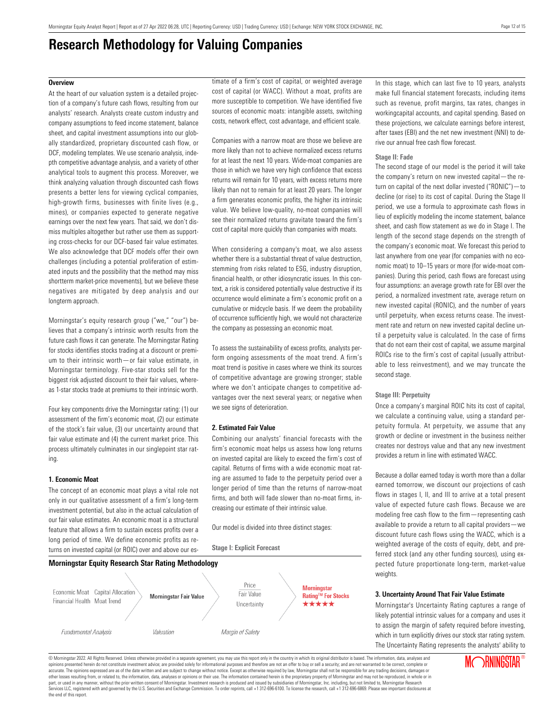# **Research Methodology for Valuing Companies**

### <span id="page-11-0"></span>**Overview**

At the heart of our valuation system is a detailed projection of a company's future cash flows, resulting from our analysts' research. Analysts create custom industry and company assumptions to feed income statement, balance sheet, and capital investment assumptions into our globally standardized, proprietary discounted cash flow, or DCF, modeling templates. We use scenario analysis, indepth competitive advantage analysis, and a variety of other analytical tools to augment this process. Moreover, we think analyzing valuation through discounted cash flows presents a better lens for viewing cyclical companies, high-growth firms, businesses with finite lives (e.g., mines), or companies expected to generate negative earnings over the next few years. That said, we don't dismiss multiples altogether but rather use them as supporting cross-checks for our DCF-based fair value estimates. We also acknowledge that DCF models offer their own challenges (including a potential proliferation of estimated inputs and the possibility that the method may miss shortterm market-price movements), but we believe these negatives are mitigated by deep analysis and our longterm approach.

Morningstar's equity research group ("we," "our") believes that a company's intrinsic worth results from the future cash flows it can generate. The Morningstar Rating for stocks identifies stocks trading at a discount or premium to their intrinsic worth—or fair value estimate, in Morningstar terminology. Five-star stocks sell for the biggest risk adjusted discount to their fair values, whereas 1-star stocks trade at premiums to their intrinsic worth.

Four key components drive the Morningstar rating: (1) our assessment of the firm's economic moat, (2) our estimate of the stock's fair value, (3) our uncertainty around that fair value estimate and (4) the current market price. This process ultimately culminates in our singlepoint star rating.

### **1. Economic Moat**

The concept of an economic moat plays a vital role not only in our qualitative assessment of a firm's long-term investment potential, but also in the actual calculation of our fair value estimates. An economic moat is a structural feature that allows a firm to sustain excess profits over a long period of time. We define economic profits as returns on invested capital (or ROIC) over and above our estimate of a firm's cost of capital, or weighted average cost of capital (or WACC). Without a moat, profits are more susceptible to competition. We have identified five sources of economic moats: intangible assets, switching costs, network effect, cost advantage, and efficient scale.

Companies with a narrow moat are those we believe are more likely than not to achieve normalized excess returns for at least the next 10 years. Wide-moat companies are those in which we have very high confidence that excess returns will remain for 10 years, with excess returns more likely than not to remain for at least 20 years. The longer a firm generates economic profits, the higher its intrinsic value. We believe low-quality, no-moat companies will see their normalized returns gravitate toward the firm's cost of capital more quickly than companies with moats.

When considering a company's moat, we also assess whether there is a substantial threat of value destruction, stemming from risks related to ESG, industry disruption, financial health, or other idiosyncratic issues. In this context, a risk is considered potentially value destructive if its occurrence would eliminate a firm's economic profit on a cumulative or midcycle basis. If we deem the probability of occurrence sufficiently high, we would not characterize the company as possessing an economic moat.

To assess the sustainability of excess profits, analysts perform ongoing assessments of the moat trend. A firm's moat trend is positive in cases where we think its sources of competitive advantage are growing stronger; stable where we don't anticipate changes to competitive advantages over the next several years; or negative when we see signs of deterioration.

### **2. Estimated Fair Value**

**Stage I: Explicit Forecast**

Combining our analysts' financial forecasts with the firm's economic moat helps us assess how long returns on invested capital are likely to exceed the firm's cost of capital. Returns of firms with a wide economic moat rating are assumed to fade to the perpetuity period over a longer period of time than the returns of narrow-moat firms, and both will fade slower than no-moat firms, increasing our estimate of their intrinsic value.

Our model is divided into three distinct stages:



In this stage, which can last five to 10 years, analysts make full financial statement forecasts, including items such as revenue, profit margins, tax rates, changes in workingcapital accounts, and capital spending. Based on these projections, we calculate earnings before interest, after taxes (EBI) and the net new investment (NNI) to derive our annual free cash flow forecast.

#### **Stage II: Fade**

The second stage of our model is the period it will take the company's return on new invested capital—the return on capital of the next dollar invested ("RONIC")—to decline (or rise) to its cost of capital. During the Stage II period, we use a formula to approximate cash flows in lieu of explicitly modeling the income statement, balance sheet, and cash flow statement as we do in Stage I. The length of the second stage depends on the strength of the company's economic moat. We forecast this period to last anywhere from one year (for companies with no economic moat) to 10–15 years or more (for wide-moat companies). During this period, cash flows are forecast using four assumptions: an average growth rate for EBI over the period, a normalized investment rate, average return on new invested capital (RONIC), and the number of years until perpetuity, when excess returns cease. The investment rate and return on new invested capital decline until a perpetuity value is calculated. In the case of firms that do not earn their cost of capital, we assume marginal ROICs rise to the firm's cost of capital (usually attributable to less reinvestment), and we may truncate the second stage.

### **Stage III: Perpetuity**

Once a company's marginal ROIC hits its cost of capital, we calculate a continuing value, using a standard perpetuity formula. At perpetuity, we assume that any growth or decline or investment in the business neither creates nor destroys value and that any new investment provides a return in line with estimated WACC.

Because a dollar earned today is worth more than a dollar earned tomorrow, we discount our projections of cash flows in stages I, II, and III to arrive at a total present value of expected future cash flows. Because we are modeling free cash flow to the firm—representing cash available to provide a return to all capital providers—we discount future cash flows using the WACC, which is a weighted average of the costs of equity, debt, and preferred stock (and any other funding sources), using expected future proportionate long-term, market-value weights.

### **3. Uncertainty Around That Fair Value Estimate**

Morningstar's Uncertainty Rating captures a range of likely potential intrinsic values for a company and uses it to assign the margin of safety required before investing, which in turn explicitly drives our stock star rating system. The Uncertainty Rating represents the analysts' ability to

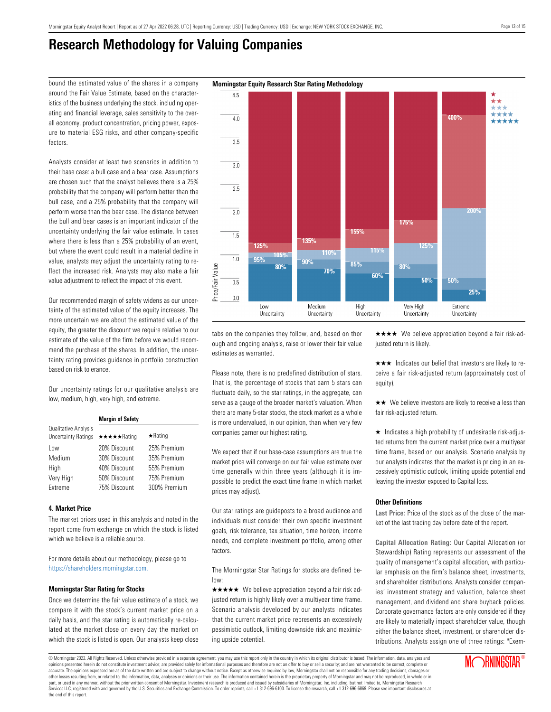$4.5$ 

## **Research Methodology for Valuing Companies**

around the Fair Value Estimate, based on the characteristics of the business underlying the stock, including operating and financial leverage, sales sensitivity to the overall economy, product concentration, pricing power, exposure to material ESG risks, and other company-specific factors.

Analysts consider at least two scenarios in addition to their base case: a bull case and a bear case. Assumptions are chosen such that the analyst believes there is a 25% probability that the company will perform better than the bull case, and a 25% probability that the company will perform worse than the bear case. The distance between the bull and bear cases is an important indicator of the uncertainty underlying the fair value estimate. In cases where there is less than a 25% probability of an event, but where the event could result in a material decline in value, analysts may adjust the uncertainty rating to reflect the increased risk. Analysts may also make a fair value adjustment to reflect the impact of this event.

Our recommended margin of safety widens as our uncertainty of the estimated value of the equity increases. The more uncertain we are about the estimated value of the equity, the greater the discount we require relative to our estimate of the value of the firm before we would recommend the purchase of the shares. In addition, the uncertainty rating provides guidance in portfolio construction based on risk tolerance.

Our uncertainty ratings for our qualitative analysis are low, medium, high, very high, and extreme.

|                                                    | <b>Margin of Safety</b> |                |  |  |  |  |  |  |
|----------------------------------------------------|-------------------------|----------------|--|--|--|--|--|--|
| Qualitative Analysis<br><b>Uncertainty Ratings</b> | ★★★★★Rating             | $\star$ Rating |  |  |  |  |  |  |
| Low                                                | 20% Discount            | 25% Premium    |  |  |  |  |  |  |
| Medium                                             | 30% Discount            | 35% Premium    |  |  |  |  |  |  |
| High                                               | 40% Discount            | 55% Premium    |  |  |  |  |  |  |
| Very High                                          | 50% Discount            | 75% Premium    |  |  |  |  |  |  |
| Extreme                                            | 75% Discount            | 300% Premium   |  |  |  |  |  |  |

### **4. Market Price**

The market prices used in this analysis and noted in the report come from exchange on which the stock is listed which we believe is a reliable source.

For more details about our methodology, please go to <https://shareholders.morningstar.com.>

### **Morningstar Star Rating for Stocks**

Once we determine the fair value estimate of a stock, we compare it with the stock's current market price on a daily basis, and the star rating is automatically re-calculated at the market close on every day the market on which the stock is listed is open. Our analysts keep close

tabs on the companies they follow, and, based on thor ough and ongoing analysis, raise or lower their fair value estimates as warranted.

Please note, there is no predefined distribution of stars. That is, the percentage of stocks that earn 5 stars can fluctuate daily, so the star ratings, in the aggregate, can serve as a gauge of the broader market's valuation. When there are many 5-star stocks, the stock market as a whole is more undervalued, in our opinion, than when very few companies garner our highest rating.

We expect that if our base-case assumptions are true the market price will converge on our fair value estimate over time generally within three years (although it is impossible to predict the exact time frame in which market prices may adjust).

Our star ratings are guideposts to a broad audience and individuals must consider their own specific investment goals, risk tolerance, tax situation, time horizon, income needs, and complete investment portfolio, among other factors.

The Morningstar Star Ratings for stocks are defined below:

 $\star \star \star \star$  We believe appreciation beyond a fair risk adjusted return is highly likely over a multiyear time frame. Scenario analysis developed by our analysts indicates that the current market price represents an excessively pessimistic outlook, limiting downside risk and maximizing upside potential.

 $\star \star \star \star$  We believe appreciation beyond a fair risk-adjusted return is likely.

 $\star \star \star$  Indicates our belief that investors are likely to receive a fair risk-adjusted return (approximately cost of equity).

 $\star\star$  We believe investors are likely to receive a less than fair risk-adjusted return.

 $\star$  Indicates a high probability of undesirable risk-adjusted returns from the current market price over a multiyear time frame, based on our analysis. Scenario analysis by our analysts indicates that the market is pricing in an excessively optimistic outlook, limiting upside potential and leaving the investor exposed to Capital loss.

### **Other Definitions**

**Last Price:** Price of the stock as of the close of the market of the last trading day before date of the report.

**Capital Allocation Rating:** Our Capital Allocation (or Stewardship) Rating represents our assessment of the quality of management's capital allocation, with particular emphasis on the firm's balance sheet, investments, and shareholder distributions. Analysts consider companies' investment strategy and valuation, balance sheet management, and dividend and share buyback policies. Corporate governance factors are only considered if they are likely to materially impact shareholder value, though either the balance sheet, investment, or shareholder distributions. Analysts assign one of three ratings: "Exem-

### bound the estimated value of the shares in a company **Morningstar Equity Research Star Rating Methodology**

**Annoy**  $\overline{40}$  $\overline{35}$  $3.0$  $\overline{2.5}$  $\overline{2.0}$ 175% 155%  $\overline{1.5}$ 135% 125% 1250 115% **110%**  $1.0$ 95%  $90%$ 85% Price/Fair Value  $80%$ 80% 70% 60% 50%  $50%$  $\overline{0.5}$ 25%  $0.0$ Low Medium High Very High Extreme Uncertainty Uncertainty Uncertainty Uncertainty Uncertainty

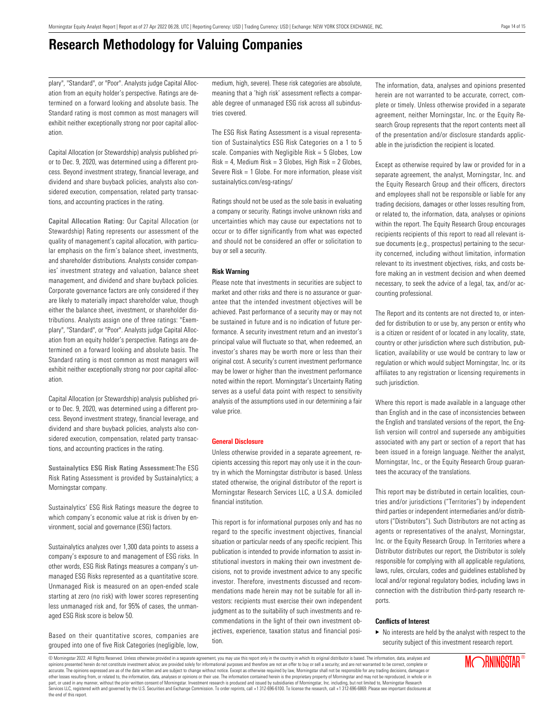# **Research Methodology for Valuing Companies**

plary", "Standard", or "Poor". Analysts judge Capital Allocation from an equity holder's perspective. Ratings are determined on a forward looking and absolute basis. The Standard rating is most common as most managers will exhibit neither exceptionally strong nor poor capital allocation.

Capital Allocation (or Stewardship) analysis published prior to Dec. 9, 2020, was determined using a different process. Beyond investment strategy, financial leverage, and dividend and share buyback policies, analysts also considered execution, compensation, related party transactions, and accounting practices in the rating.

**Capital Allocation Rating:** Our Capital Allocation (or Stewardship) Rating represents our assessment of the quality of management's capital allocation, with particular emphasis on the firm's balance sheet, investments, and shareholder distributions. Analysts consider companies' investment strategy and valuation, balance sheet management, and dividend and share buyback policies. Corporate governance factors are only considered if they are likely to materially impact shareholder value, though either the balance sheet, investment, or shareholder distributions. Analysts assign one of three ratings: "Exemplary", "Standard", or "Poor". Analysts judge Capital Allocation from an equity holder's perspective. Ratings are determined on a forward looking and absolute basis. The Standard rating is most common as most managers will exhibit neither exceptionally strong nor poor capital allocation.

Capital Allocation (or Stewardship) analysis published prior to Dec. 9, 2020, was determined using a different process. Beyond investment strategy, financial leverage, and dividend and share buyback policies, analysts also considered execution, compensation, related party transactions, and accounting practices in the rating.

**Sustainalytics ESG Risk Rating Assessment:**The ESG Risk Rating Assessment is provided by Sustainalytics; a Morningstar company.

Sustainalytics' ESG Risk Ratings measure the degree to which company's economic value at risk is driven by environment, social and governance (ESG) factors.

Sustainalytics analyzes over 1,300 data points to assess a company's exposure to and management of ESG risks. In other words, ESG Risk Ratings measures a company's unmanaged ESG Risks represented as a quantitative score. Unmanaged Risk is measured on an open-ended scale starting at zero (no risk) with lower scores representing less unmanaged risk and, for 95% of cases, the unmanaged ESG Risk score is below 50.

Based on their quantitative scores, companies are grouped into one of five Risk Categories (negligible, low, medium, high, severe). These risk categories are absolute, meaning that a 'high risk' assessment reflects a comparable degree of unmanaged ESG risk across all subindustries covered.

The ESG Risk Rating Assessment is a visual representation of Sustainalytics ESG Risk Categories on a 1 to 5 scale. Companies with Negligible Risk = 5 Globes, Low  $Risk = 4$ , Medium Risk = 3 Globes, High Risk = 2 Globes, Severe Risk = 1 Globe. For more information, please visit sustainalytics.com/esg-ratings/

Ratings should not be used as the sole basis in evaluating a company or security. Ratings involve unknown risks and uncertainties which may cause our expectations not to occur or to differ significantly from what was expected and should not be considered an offer or solicitation to buy or sell a security.

### **Risk Warning**

Please note that investments in securities are subject to market and other risks and there is no assurance or guarantee that the intended investment objectives will be achieved. Past performance of a security may or may not be sustained in future and is no indication of future performance. A security investment return and an investor's principal value will fluctuate so that, when redeemed, an investor's shares may be worth more or less than their original cost. A security's current investment performance may be lower or higher than the investment performance noted within the report. Morningstar's Uncertainty Rating serves as a useful data point with respect to sensitivity analysis of the assumptions used in our determining a fair value price.

#### **General Disclosure**

Unless otherwise provided in a separate agreement, recipients accessing this report may only use it in the country in which the Morningstar distributor is based. Unless stated otherwise, the original distributor of the report is Morningstar Research Services LLC, a U.S.A. domiciled financial institution.

This report is for informational purposes only and has no regard to the specific investment objectives, financial situation or particular needs of any specific recipient. This publication is intended to provide information to assist institutional investors in making their own investment decisions, not to provide investment advice to any specific investor. Therefore, investments discussed and recommendations made herein may not be suitable for all investors: recipients must exercise their own independent judgment as to the suitability of such investments and recommendations in the light of their own investment objectives, experience, taxation status and financial position.

The information, data, analyses and opinions presented herein are not warranted to be accurate, correct, complete or timely. Unless otherwise provided in a separate agreement, neither Morningstar, Inc. or the Equity Research Group represents that the report contents meet all of the presentation and/or disclosure standards applicable in the jurisdiction the recipient is located.

Except as otherwise required by law or provided for in a separate agreement, the analyst, Morningstar, Inc. and the Equity Research Group and their officers, directors and employees shall not be responsible or liable for any trading decisions, damages or other losses resulting from, or related to, the information, data, analyses or opinions within the report. The Equity Research Group encourages recipients recipients of this report to read all relevant issue documents (e.g., prospectus) pertaining to the security concerned, including without limitation, information relevant to its investment objectives, risks, and costs before making an in vestment decision and when deemed necessary, to seek the advice of a legal, tax, and/or accounting professional.

The Report and its contents are not directed to, or intended for distribution to or use by, any person or entity who is a citizen or resident of or located in any locality, state, country or other jurisdiction where such distribution, publication, availability or use would be contrary to law or regulation or which would subject Morningstar, Inc. or its affiliates to any registration or licensing requirements in such jurisdiction.

Where this report is made available in a language other than English and in the case of inconsistencies between the English and translated versions of the report, the English version will control and supersede any ambiguities associated with any part or section of a report that has been issued in a foreign language. Neither the analyst, Morningstar, Inc., or the Equity Research Group guarantees the accuracy of the translations.

This report may be distributed in certain localities, countries and/or jurisdictions ("Territories") by independent third parties or independent intermediaries and/or distributors ("Distributors"). Such Distributors are not acting as agents or representatives of the analyst, Morningstar, Inc. or the Equity Research Group. In Territories where a Distributor distributes our report, the Distributor is solely responsible for complying with all applicable regulations, laws, rules, circulars, codes and guidelines established by local and/or regional regulatory bodies, including laws in connection with the distribution third-party research reports.

### **Conflicts of Interest**

 $\blacktriangleright$  No interests are held by the analyst with respect to the security subject of this investment research report.